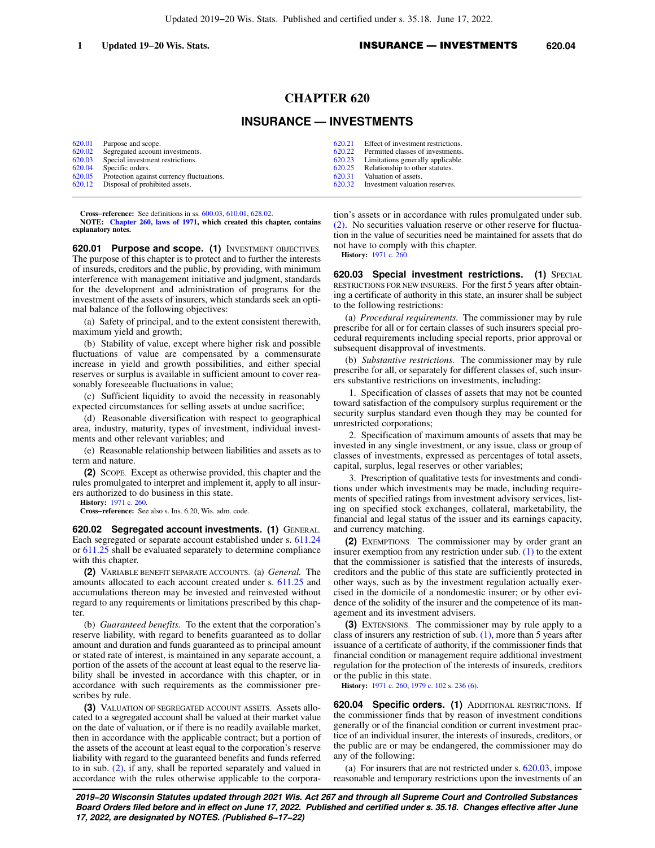## **CHAPTER 620**

## **INSURANCE — INVESTMENTS**

| 620.01 Purpose and scope.                        | 620.21 Effect of investment restrictions. |
|--------------------------------------------------|-------------------------------------------|
| 620.02 Segregated account investments.           | 620.22 Permitted classes of investments.  |
| 620.03 Special investment restrictions.          | 620.23 Limitations generally applicable.  |
| 620.04 Specific orders.                          | 620.25 Relationship to other statutes.    |
| 620.05 Protection against currency fluctuations. | 620.31 Valuation of assets.               |
| 620.12 Disposal of prohibited assets.            | 620.32 Investment valuation reserves.     |

**Cross−reference:** See definitions in ss. [600.03](https://docs.legis.wisconsin.gov/document/statutes/600.03), [610.01,](https://docs.legis.wisconsin.gov/document/statutes/610.01) [628.02.](https://docs.legis.wisconsin.gov/document/statutes/628.02)

**NOTE: [Chapter 260, laws of 1971](https://docs.legis.wisconsin.gov/document/acts/1971/260), which created this chapter, contains explanatory notes.**

**620.01 Purpose and scope. (1)** INVESTMENT OBJECTIVES. The purpose of this chapter is to protect and to further the interests of insureds, creditors and the public, by providing, with minimum interference with management initiative and judgment, standards for the development and administration of programs for the investment of the assets of insurers, which standards seek an optimal balance of the following objectives:

(a) Safety of principal, and to the extent consistent therewith, maximum yield and growth;

(b) Stability of value, except where higher risk and possible fluctuations of value are compensated by a commensurate increase in yield and growth possibilities, and either special reserves or surplus is available in sufficient amount to cover reasonably foreseeable fluctuations in value;

(c) Sufficient liquidity to avoid the necessity in reasonably expected circumstances for selling assets at undue sacrifice;

(d) Reasonable diversification with respect to geographical area, industry, maturity, types of investment, individual investments and other relevant variables; and

(e) Reasonable relationship between liabilities and assets as to term and nature.

**(2)** SCOPE. Except as otherwise provided, this chapter and the rules promulgated to interpret and implement it, apply to all insurers authorized to do business in this state.

**History:** [1971 c. 260](https://docs.legis.wisconsin.gov/document/acts/1971/260).

**Cross−reference:** See also s. Ins. 6.20, Wis. adm. code.

**620.02 Segregated account investments. (1)** GENERAL. Each segregated or separate account established under s. [611.24](https://docs.legis.wisconsin.gov/document/statutes/611.24) or [611.25](https://docs.legis.wisconsin.gov/document/statutes/611.25) shall be evaluated separately to determine compliance with this chapter.

**(2)** VARIABLE BENEFIT SEPARATE ACCOUNTS. (a) *General.* The amounts allocated to each account created under s. [611.25](https://docs.legis.wisconsin.gov/document/statutes/611.25) and accumulations thereon may be invested and reinvested without regard to any requirements or limitations prescribed by this chapter.

(b) *Guaranteed benefits.* To the extent that the corporation's reserve liability, with regard to benefits guaranteed as to dollar amount and duration and funds guaranteed as to principal amount or stated rate of interest, is maintained in any separate account, a portion of the assets of the account at least equal to the reserve liability shall be invested in accordance with this chapter, or in accordance with such requirements as the commissioner prescribes by rule.

**(3)** VALUATION OF SEGREGATED ACCOUNT ASSETS. Assets allocated to a segregated account shall be valued at their market value on the date of valuation, or if there is no readily available market, then in accordance with the applicable contract; but a portion of the assets of the account at least equal to the corporation's reserve liability with regard to the guaranteed benefits and funds referred to in sub. [\(2\),](https://docs.legis.wisconsin.gov/document/statutes/620.02(2)) if any, shall be reported separately and valued in accordance with the rules otherwise applicable to the corporation's assets or in accordance with rules promulgated under sub. [\(2\).](https://docs.legis.wisconsin.gov/document/statutes/620.02(2)) No securities valuation reserve or other reserve for fluctuation in the value of securities need be maintained for assets that do not have to comply with this chapter.

**History:** [1971 c. 260.](https://docs.legis.wisconsin.gov/document/acts/1971/260)

**620.03 Special investment restrictions. (1) SPECIAL** RESTRICTIONS FOR NEW INSURERS. For the first 5 years after obtaining a certificate of authority in this state, an insurer shall be subject to the following restrictions:

(a) *Procedural requirements.* The commissioner may by rule prescribe for all or for certain classes of such insurers special procedural requirements including special reports, prior approval or subsequent disapproval of investments.

(b) *Substantive restrictions.* The commissioner may by rule prescribe for all, or separately for different classes of, such insurers substantive restrictions on investments, including:

1. Specification of classes of assets that may not be counted toward satisfaction of the compulsory surplus requirement or the security surplus standard even though they may be counted for unrestricted corporations;

2. Specification of maximum amounts of assets that may be invested in any single investment, or any issue, class or group of classes of investments, expressed as percentages of total assets, capital, surplus, legal reserves or other variables;

3. Prescription of qualitative tests for investments and conditions under which investments may be made, including requirements of specified ratings from investment advisory services, listing on specified stock exchanges, collateral, marketability, the financial and legal status of the issuer and its earnings capacity, and currency matching.

**(2)** EXEMPTIONS. The commissioner may by order grant an insurer exemption from any restriction under sub. [\(1\)](https://docs.legis.wisconsin.gov/document/statutes/620.03(1)) to the extent that the commissioner is satisfied that the interests of insureds, creditors and the public of this state are sufficiently protected in other ways, such as by the investment regulation actually exercised in the domicile of a nondomestic insurer; or by other evidence of the solidity of the insurer and the competence of its management and its investment advisers.

**(3)** EXTENSIONS. The commissioner may by rule apply to a class of insurers any restriction of sub.  $(1)$ , more than 5 years after issuance of a certificate of authority, if the commissioner finds that financial condition or management require additional investment regulation for the protection of the interests of insureds, creditors or the public in this state.

**History:** [1971 c. 260;](https://docs.legis.wisconsin.gov/document/acts/1971/260) [1979 c. 102](https://docs.legis.wisconsin.gov/document/acts/1979/102) s. [236 \(6\).](https://docs.legis.wisconsin.gov/document/acts/1979/102,%20s.%20236)

**620.04 Specific orders. (1)** ADDITIONAL RESTRICTIONS. If the commissioner finds that by reason of investment conditions generally or of the financial condition or current investment practice of an individual insurer, the interests of insureds, creditors, or the public are or may be endangered, the commissioner may do any of the following:

(a) For insurers that are not restricted under s. [620.03,](https://docs.legis.wisconsin.gov/document/statutes/620.03) impose reasonable and temporary restrictions upon the investments of an

**2019−20 Wisconsin Statutes updated through 2021 Wis. Act 267 and through all Supreme Court and Controlled Substances Board Orders filed before and in effect on June 17, 2022. Published and certified under s. 35.18. Changes effective after June 17, 2022, are designated by NOTES. (Published 6−17−22)**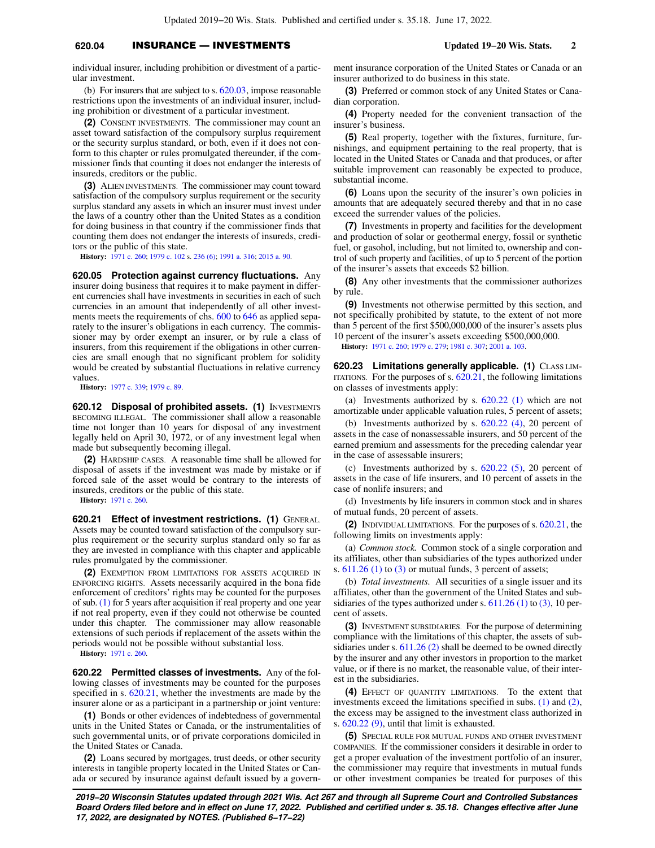## **620.04** INSURANCE — INVESTMENTS **Updated 19−20 Wis. Stats. 2**

individual insurer, including prohibition or divestment of a particular investment.

(b) For insurers that are subject to s. [620.03](https://docs.legis.wisconsin.gov/document/statutes/620.03), impose reasonable restrictions upon the investments of an individual insurer, including prohibition or divestment of a particular investment.

**(2)** CONSENT INVESTMENTS. The commissioner may count an asset toward satisfaction of the compulsory surplus requirement or the security surplus standard, or both, even if it does not conform to this chapter or rules promulgated thereunder, if the commissioner finds that counting it does not endanger the interests of insureds, creditors or the public.

**(3)** ALIEN INVESTMENTS. The commissioner may count toward satisfaction of the compulsory surplus requirement or the security surplus standard any assets in which an insurer must invest under the laws of a country other than the United States as a condition for doing business in that country if the commissioner finds that counting them does not endanger the interests of insureds, creditors or the public of this state.

**History:** [1971 c. 260](https://docs.legis.wisconsin.gov/document/acts/1971/260); [1979 c. 102](https://docs.legis.wisconsin.gov/document/acts/1979/102) s. [236 \(6\)](https://docs.legis.wisconsin.gov/document/acts/1979/102,%20s.%20236); [1991 a. 316](https://docs.legis.wisconsin.gov/document/acts/1991/316); [2015 a. 90](https://docs.legis.wisconsin.gov/document/acts/2015/90).

**620.05 Protection against currency fluctuations.** Any insurer doing business that requires it to make payment in different currencies shall have investments in securities in each of such currencies in an amount that independently of all other investments meets the requirements of chs. [600](https://docs.legis.wisconsin.gov/document/statutes/ch.%20600) to [646](https://docs.legis.wisconsin.gov/document/statutes/ch.%20646) as applied separately to the insurer's obligations in each currency. The commissioner may by order exempt an insurer, or by rule a class of insurers, from this requirement if the obligations in other currencies are small enough that no significant problem for solidity would be created by substantial fluctuations in relative currency values.

**History:** [1977 c. 339](https://docs.legis.wisconsin.gov/document/acts/1977/339); [1979 c. 89.](https://docs.legis.wisconsin.gov/document/acts/1979/89)

**620.12 Disposal of prohibited assets. (1) INVESTMENTS** BECOMING ILLEGAL. The commissioner shall allow a reasonable time not longer than 10 years for disposal of any investment legally held on April 30, 1972, or of any investment legal when made but subsequently becoming illegal.

**(2)** HARDSHIP CASES. A reasonable time shall be allowed for disposal of assets if the investment was made by mistake or if forced sale of the asset would be contrary to the interests of insureds, creditors or the public of this state.

**History:** [1971 c. 260](https://docs.legis.wisconsin.gov/document/acts/1971/260).

**620.21 Effect of investment restrictions. (1)** GENERAL. Assets may be counted toward satisfaction of the compulsory surplus requirement or the security surplus standard only so far as they are invested in compliance with this chapter and applicable rules promulgated by the commissioner.

**(2)** EXEMPTION FROM LIMITATIONS FOR ASSETS ACQUIRED IN ENFORCING RIGHTS. Assets necessarily acquired in the bona fide enforcement of creditors' rights may be counted for the purposes of sub. [\(1\)](https://docs.legis.wisconsin.gov/document/statutes/620.21(1)) for 5 years after acquisition if real property and one year if not real property, even if they could not otherwise be counted under this chapter. The commissioner may allow reasonable extensions of such periods if replacement of the assets within the periods would not be possible without substantial loss.

**History:** [1971 c. 260](https://docs.legis.wisconsin.gov/document/acts/1971/260).

**620.22 Permitted classes of investments.** Any of the following classes of investments may be counted for the purposes specified in s. [620.21,](https://docs.legis.wisconsin.gov/document/statutes/620.21) whether the investments are made by the insurer alone or as a participant in a partnership or joint venture:

**(1)** Bonds or other evidences of indebtedness of governmental units in the United States or Canada, or the instrumentalities of such governmental units, or of private corporations domiciled in the United States or Canada.

**(2)** Loans secured by mortgages, trust deeds, or other security interests in tangible property located in the United States or Canada or secured by insurance against default issued by a government insurance corporation of the United States or Canada or an insurer authorized to do business in this state.

**(3)** Preferred or common stock of any United States or Canadian corporation.

**(4)** Property needed for the convenient transaction of the insurer's business.

**(5)** Real property, together with the fixtures, furniture, furnishings, and equipment pertaining to the real property, that is located in the United States or Canada and that produces, or after suitable improvement can reasonably be expected to produce, substantial income.

**(6)** Loans upon the security of the insurer's own policies in amounts that are adequately secured thereby and that in no case exceed the surrender values of the policies.

**(7)** Investments in property and facilities for the development and production of solar or geothermal energy, fossil or synthetic fuel, or gasohol, including, but not limited to, ownership and control of such property and facilities, of up to 5 percent of the portion of the insurer's assets that exceeds \$2 billion.

**(8)** Any other investments that the commissioner authorizes by rule.

**(9)** Investments not otherwise permitted by this section, and not specifically prohibited by statute, to the extent of not more than 5 percent of the first \$500,000,000 of the insurer's assets plus 10 percent of the insurer's assets exceeding \$500,000,000.

**History:** [1971 c. 260;](https://docs.legis.wisconsin.gov/document/acts/1971/260) [1979 c. 279](https://docs.legis.wisconsin.gov/document/acts/1979/279); [1981 c. 307;](https://docs.legis.wisconsin.gov/document/acts/1981/307) [2001 a. 103.](https://docs.legis.wisconsin.gov/document/acts/2001/103)

**620.23 Limitations generally applicable. (1)** CLASS LIM-ITATIONS. For the purposes of s. [620.21](https://docs.legis.wisconsin.gov/document/statutes/620.21), the following limitations on classes of investments apply:

(a) Investments authorized by s. [620.22 \(1\)](https://docs.legis.wisconsin.gov/document/statutes/620.22(1)) which are not amortizable under applicable valuation rules, 5 percent of assets;

(b) Investments authorized by s. [620.22 \(4\),](https://docs.legis.wisconsin.gov/document/statutes/620.22(4)) 20 percent of assets in the case of nonassessable insurers, and 50 percent of the earned premium and assessments for the preceding calendar year in the case of assessable insurers;

(c) Investments authorized by s.  $620.22$  (5), 20 percent of assets in the case of life insurers, and 10 percent of assets in the case of nonlife insurers; and

(d) Investments by life insurers in common stock and in shares of mutual funds, 20 percent of assets.

**(2)** INDIVIDUAL LIMITATIONS. For the purposes of s. [620.21,](https://docs.legis.wisconsin.gov/document/statutes/620.21) the following limits on investments apply:

(a) *Common stock.* Common stock of a single corporation and its affiliates, other than subsidiaries of the types authorized under s.  $611.26$  (1) to [\(3\)](https://docs.legis.wisconsin.gov/document/statutes/611.26(3)) or mutual funds, 3 percent of assets;

(b) *Total investments.* All securities of a single issuer and its affiliates, other than the government of the United States and subsidiaries of the types authorized under s.  $611.26$  (1) to [\(3\),](https://docs.legis.wisconsin.gov/document/statutes/611.26(3)) 10 percent of assets.

**(3)** INVESTMENT SUBSIDIARIES. For the purpose of determining compliance with the limitations of this chapter, the assets of sub-sidiaries under s. [611.26 \(2\)](https://docs.legis.wisconsin.gov/document/statutes/611.26(2)) shall be deemed to be owned directly by the insurer and any other investors in proportion to the market value, or if there is no market, the reasonable value, of their interest in the subsidiaries.

**(4)** EFFECT OF QUANTITY LIMITATIONS. To the extent that investments exceed the limitations specified in subs. [\(1\)](https://docs.legis.wisconsin.gov/document/statutes/620.23(1)) and [\(2\),](https://docs.legis.wisconsin.gov/document/statutes/620.23(2)) the excess may be assigned to the investment class authorized in s. [620.22 \(9\),](https://docs.legis.wisconsin.gov/document/statutes/620.22(9)) until that limit is exhausted.

**(5)** SPECIAL RULE FOR MUTUAL FUNDS AND OTHER INVESTMENT COMPANIES. If the commissioner considers it desirable in order to get a proper evaluation of the investment portfolio of an insurer, the commissioner may require that investments in mutual funds or other investment companies be treated for purposes of this

**2019−20 Wisconsin Statutes updated through 2021 Wis. Act 267 and through all Supreme Court and Controlled Substances Board Orders filed before and in effect on June 17, 2022. Published and certified under s. 35.18. Changes effective after June 17, 2022, are designated by NOTES. (Published 6−17−22)**